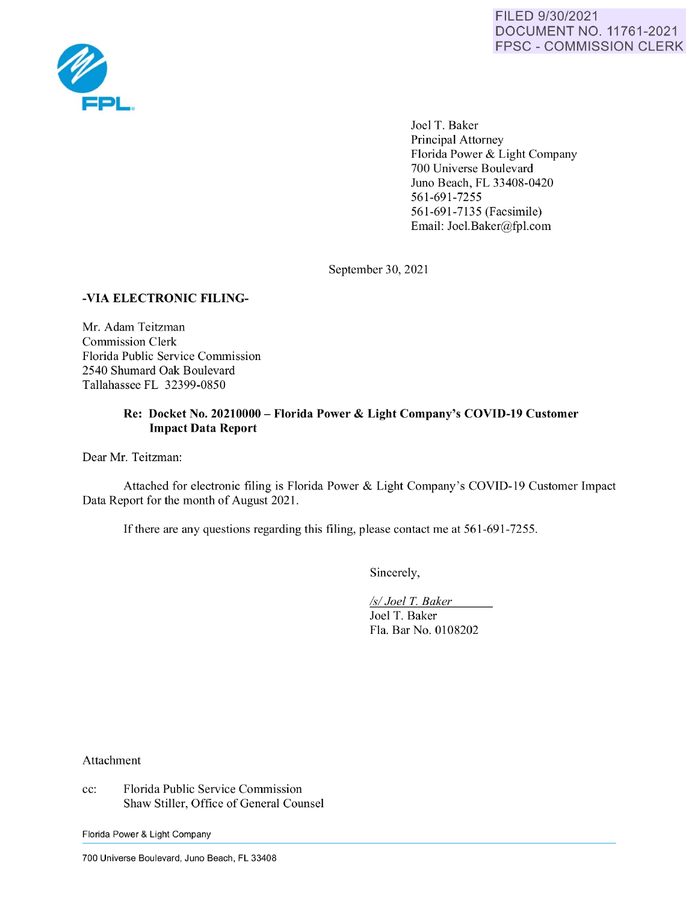

Joel T. Baker Principal Attorney Florida Power & Light Company 700 Universe Boulevard Juno Beach, FL 33408-0420 561-691-7255 561-691-7135 (Facsimile) Email: Joel.Baker@fpl.com

September 30, 2021

## **-VIA ELECTRONIC FILING-**

Mr. Adam Teitzman Commission Clerk Florida Public Service Commission 2540 Shumard Oak Boulevard Tallahassee FL 32399-0850

## **Re: Docket No. 20210000** - **Florida Power** & **Light Company's COVID-19 Customer Impact Data Report**

Dear Mr. Teitzman:

Attached for electronic filing is Florida Power & Light Company's COVID-19 Customer Impact Data Report for the month of August 2021.

If there are any questions regarding this filing, please contact me at 561-691-7255.

Sincerely,

*Isl Joel* T. *Baker*  Joel T. Baker Fla. Bar No. 0108202

Attachment

cc: Florida Public Service Commission Shaw Stiller, Office of General Counsel

Florida Power & Light Company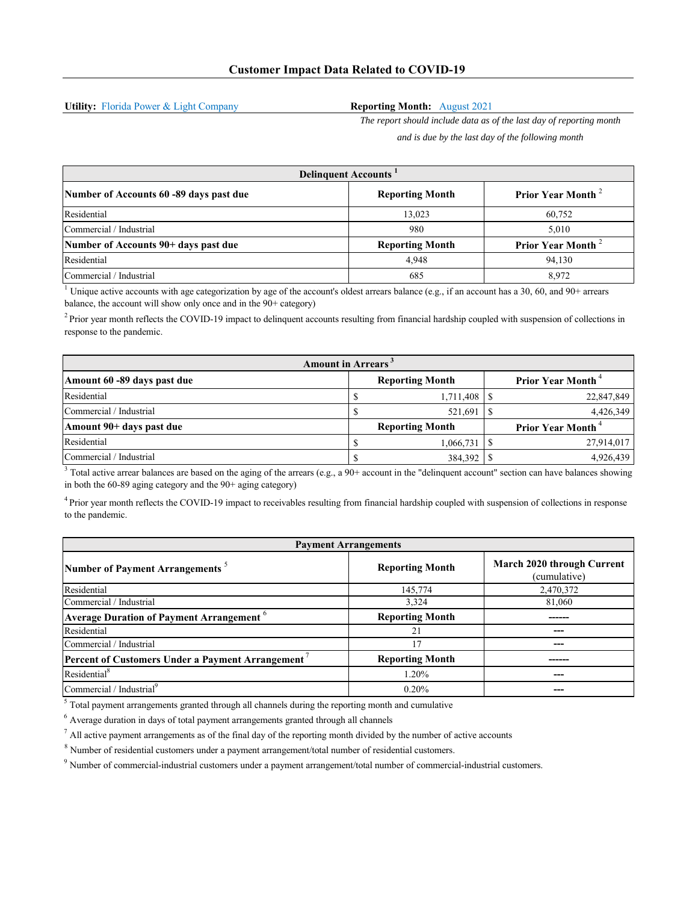**Utility:** Florida Power & Light Company

## **Reporting Month:** August 2021

*The report should include data as of the last day of reporting month and is due by the last day of the following month*

| <b>Delinguent Accounts</b>              |                        |                               |  |  |
|-----------------------------------------|------------------------|-------------------------------|--|--|
| Number of Accounts 60 -89 days past due | <b>Reporting Month</b> | Prior Year Month <sup>2</sup> |  |  |
| Residential                             | 13.023                 | 60.752                        |  |  |
| Commercial / Industrial                 | 980                    | 5.010                         |  |  |
| Number of Accounts 90+ days past due    | <b>Reporting Month</b> | Prior Year Month <sup>2</sup> |  |  |
| Residential                             | 4.948                  | 94,130                        |  |  |
| Commercial / Industrial                 | 685                    | 8.972                         |  |  |

<sup>1</sup> Unique active accounts with age categorization by age of the account's oldest arrears balance (e.g., if an account has a 30, 60, and 90+ arrears balance, the account will show only once and in the 90+ category)

 $<sup>2</sup>$  Prior year month reflects the COVID-19 impact to delinquent accounts resulting from financial hardship coupled with suspension of collections in</sup> response to the pandemic.

| <b>Amount in Arrears</b> <sup>3</sup> |  |                        |  |                                      |  |
|---------------------------------------|--|------------------------|--|--------------------------------------|--|
| Amount 60 -89 days past due           |  | <b>Reporting Month</b> |  | <b>Prior Year Month</b> <sup>4</sup> |  |
| Residential                           |  | 1,711,408              |  | 22,847,849                           |  |
| Commercial / Industrial               |  | 521,691                |  | 4,426,349                            |  |
| Amount 90+ days past due              |  | <b>Reporting Month</b> |  | <b>Prior Year Month</b> <sup>4</sup> |  |
| Residential                           |  | 1,066,731              |  | 27,914,017                           |  |
| Commercial / Industrial               |  | 384,392                |  | 4,926,439                            |  |

 $3$  Total active arrear balances are based on the aging of the arrears (e.g., a 90+ account in the "delinquent account" section can have balances showing in both the 60-89 aging category and the 90+ aging category)

<sup>4</sup> Prior year month reflects the COVID-19 impact to receivables resulting from financial hardship coupled with suspension of collections in response to the pandemic.

| <b>Payment Arrangements</b>                                 |                        |                                            |  |  |
|-------------------------------------------------------------|------------------------|--------------------------------------------|--|--|
| Number of Payment Arrangements <sup>5</sup>                 | <b>Reporting Month</b> | March 2020 through Current<br>(cumulative) |  |  |
| Residential                                                 | 145,774                | 2,470,372                                  |  |  |
| Commercial / Industrial                                     | 3,324                  | 81,060                                     |  |  |
| <b>Average Duration of Payment Arrangement</b> <sup>6</sup> | <b>Reporting Month</b> |                                            |  |  |
| Residential                                                 | 21                     |                                            |  |  |
| Commercial / Industrial                                     | 17                     |                                            |  |  |
| <b>Percent of Customers Under a Payment Arrangement</b>     | <b>Reporting Month</b> |                                            |  |  |
| Residential <sup>8</sup>                                    | 1.20%                  |                                            |  |  |
| Commercial / Industrial <sup>9</sup>                        | 0.20%                  | ---                                        |  |  |

 $<sup>5</sup>$  Total payment arrangements granted through all channels during the reporting month and cumulative</sup>

 $<sup>6</sup>$  Average duration in days of total payment arrangements granted through all channels</sup>

 $<sup>7</sup>$  All active payment arrangements as of the final day of the reporting month divided by the number of active accounts</sup>

 $8$  Number of residential customers under a payment arrangement/total number of residential customers.

9 Number of commercial-industrial customers under a payment arrangement/total number of commercial-industrial customers.